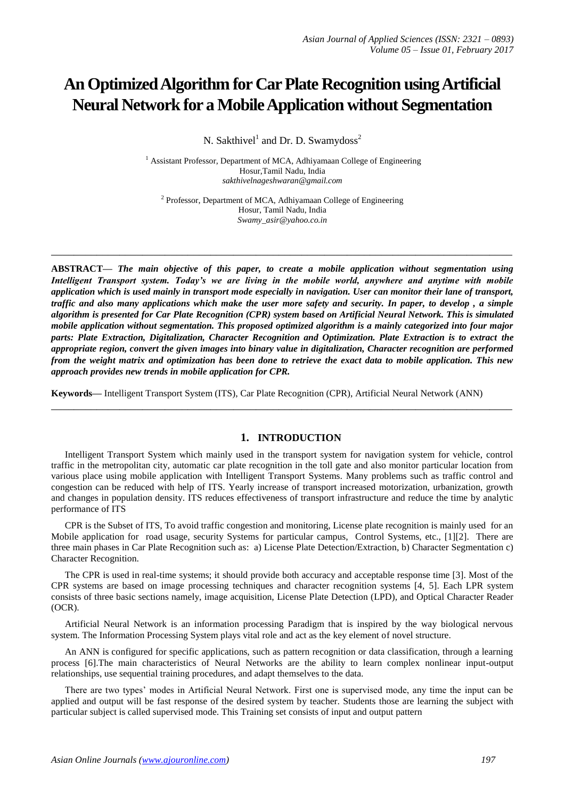# **An Optimized Algorithm for Car Plate Recognition using Artificial Neural Network for a Mobile Application without Segmentation**

N. Sakthivel<sup>1</sup> and Dr. D. Swamydoss<sup>2</sup>

<sup>1</sup> Assistant Professor, Department of MCA, Adhiyamaan College of Engineering Hosur,Tamil Nadu, India *sakthivelnageshwaran@gmail.com*

<sup>2</sup> Professor, Department of MCA, Adhiyamaan College of Engineering Hosur, Tamil Nadu, India *Swamy\_asir@yahoo.co.in*

**\_\_\_\_\_\_\_\_\_\_\_\_\_\_\_\_\_\_\_\_\_\_\_\_\_\_\_\_\_\_\_\_\_\_\_\_\_\_\_\_\_\_\_\_\_\_\_\_\_\_\_\_\_\_\_\_\_\_\_\_\_\_\_\_\_\_\_\_\_\_\_\_\_\_\_\_\_\_\_\_\_**

**ABSTRACT—** *The main objective of this paper, to create a mobile application without segmentation using Intelligent Transport system. Today's we are living in the mobile world, anywhere and anytime with mobile application which is used mainly in transport mode especially in navigation. User can monitor their lane of transport, traffic and also many applications which make the user more safety and security. In paper, to develop , a simple algorithm is presented for Car Plate Recognition (CPR) system based on Artificial Neural Network. This is simulated mobile application without segmentation. This proposed optimized algorithm is a mainly categorized into four major parts: Plate Extraction, Digitalization, Character Recognition and Optimization. Plate Extraction is to extract the appropriate region, convert the given images into binary value in digitalization, Character recognition are performed from the weight matrix and optimization has been done to retrieve the exact data to mobile application. This new approach provides new trends in mobile application for CPR.*

**Keywords—** Intelligent Transport System (ITS), Car Plate Recognition (CPR), Artificial Neural Network (ANN)

## **1. INTRODUCTION**

**\_\_\_\_\_\_\_\_\_\_\_\_\_\_\_\_\_\_\_\_\_\_\_\_\_\_\_\_\_\_\_\_\_\_\_\_\_\_\_\_\_\_\_\_\_\_\_\_\_\_\_\_\_\_\_\_\_\_\_\_\_\_\_\_\_\_\_\_\_\_\_\_\_\_\_\_\_\_\_\_\_**

Intelligent Transport System which mainly used in the transport system for navigation system for vehicle, control traffic in the metropolitan city, automatic car plate recognition in the toll gate and also monitor particular location from various place using mobile application with Intelligent Transport Systems. Many problems such as traffic control and congestion can be reduced with help of ITS. Yearly increase of transport increased motorization, urbanization, growth and changes in population density. ITS reduces effectiveness of transport infrastructure and reduce the time by analytic performance of ITS

CPR is the Subset of ITS, To avoid traffic congestion and monitoring, License plate recognition is mainly used for an Mobile application for road usage, security Systems for particular campus, Control Systems, etc., [1][2]. There are three main phases in Car Plate Recognition such as: a) License Plate Detection/Extraction, b) Character Segmentation c) Character Recognition.

The CPR is used in real-time systems; it should provide both accuracy and acceptable response time [3]. Most of the CPR systems are based on image processing techniques and character recognition systems [4, 5]. Each LPR system consists of three basic sections namely, image acquisition, License Plate Detection (LPD), and Optical Character Reader (OCR).

Artificial Neural Network is an information processing Paradigm that is inspired by the way biological nervous system. The Information Processing System plays vital role and act as the key element of novel structure.

An ANN is configured for specific applications, such as pattern recognition or data classification, through a learning process [6].The main characteristics of Neural Networks are the ability to learn complex nonlinear input-output relationships, use sequential training procedures, and adapt themselves to the data.

There are two types' modes in Artificial Neural Network. First one is supervised mode, any time the input can be applied and output will be fast response of the desired system by teacher. Students those are learning the subject with particular subject is called supervised mode. This Training set consists of input and output pattern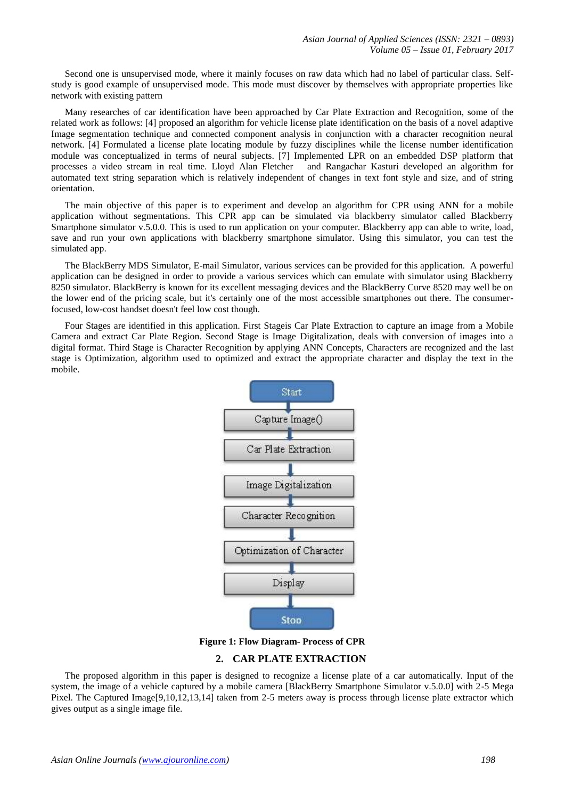Second one is unsupervised mode, where it mainly focuses on raw data which had no label of particular class. Selfstudy is good example of unsupervised mode. This mode must discover by themselves with appropriate properties like network with existing pattern

Many researches of car identification have been approached by Car Plate Extraction and Recognition, some of the related work as follows: [4] proposed an algorithm for vehicle license plate identification on the basis of a novel adaptive Image segmentation technique and connected component analysis in conjunction with a character recognition neural network. [4] Formulated a license plate locating module by fuzzy disciplines while the license number identification module was conceptualized in terms of neural subjects. [7] Implemented LPR on an embedded DSP platform that processes a video stream in real time. Lloyd Alan Fletcher and Rangachar Kasturi developed an algorithm for processes a video stream in real time. Lloyd Alan Fletcher automated text string separation which is relatively independent of changes in text font style and size, and of string orientation.

The main objective of this paper is to experiment and develop an algorithm for CPR using ANN for a mobile application without segmentations. This CPR app can be simulated via blackberry simulator called Blackberry Smartphone simulator v.5.0.0. This is used to run application on your computer. Blackberry app can able to write, load, save and run your own applications with blackberry smartphone simulator. Using this simulator, you can test the simulated app.

The BlackBerry MDS Simulator, E-mail Simulator, various services can be provided for this application. A powerful application can be designed in order to provide a various services which can emulate with simulator using Blackberry 8250 simulator. BlackBerry is known for its excellent messaging devices and the BlackBerry Curve 8520 may well be on the lower end of the pricing scale, but it's certainly one of the most accessible smartphones out there. The consumerfocused, low-cost handset doesn't feel low cost though.

Four Stages are identified in this application. First Stageis Car Plate Extraction to capture an image from a Mobile Camera and extract Car Plate Region. Second Stage is Image Digitalization, deals with conversion of images into a digital format. Third Stage is Character Recognition by applying ANN Concepts, Characters are recognized and the last stage is Optimization, algorithm used to optimized and extract the appropriate character and display the text in the mobile.



**Figure 1: Flow Diagram- Process of CPR**

# **2. CAR PLATE EXTRACTION**

The proposed algorithm in this paper is designed to recognize a license plate of a car automatically. Input of the system, the image of a vehicle captured by a mobile camera [BlackBerry Smartphone Simulator v.5.0.0] with 2-5 Mega Pixel. The Captured Image[9,10,12,13,14] taken from 2-5 meters away is process through license plate extractor which gives output as a single image file.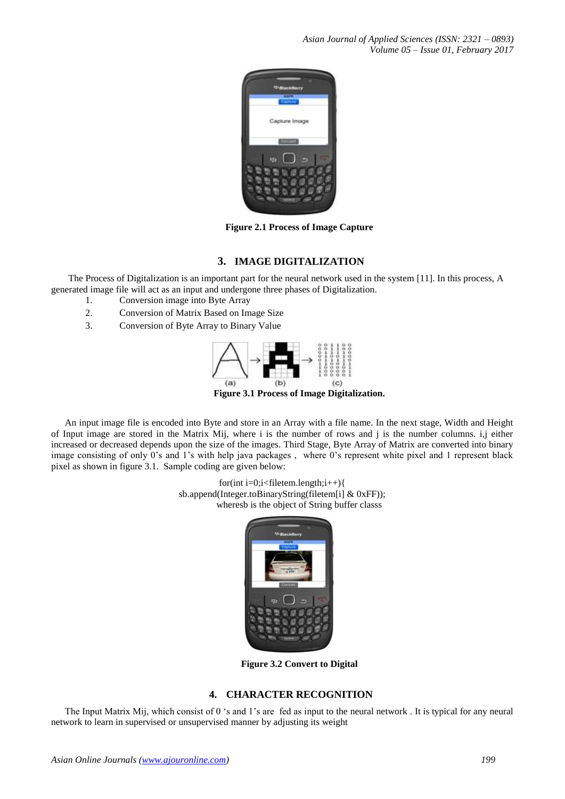*Asian Journal of Applied Sciences (ISSN: 2321 – 0893) Volume 05 – Issue 01, February 2017*



**Figure 2.1 Process of Image Capture**

# **3. IMAGE DIGITALIZATION**

The Process of Digitalization is an important part for the neural network used in the system [11]. In this process, A generated image file will act as an input and undergone three phases of Digitalization.

- 1. Conversion image into Byte Array
- 2. Conversion of Matrix Based on Image Size
- 3. Conversion of Byte Array to Binary Value



**Figure 3.1 Process of Image Digitalization.**

An input image file is encoded into Byte and store in an Array with a file name. In the next stage, Width and Height of Input image are stored in the Matrix Mij, where i is the number of rows and j is the number columns. i,j either increased or decreased depends upon the size of the images. Third Stage, Byte Array of Matrix are converted into binary image consisting of only 0's and 1's with help java packages , where 0's represent white pixel and 1 represent black pixel as shown in figure 3.1. Sample coding are given below:

> for(int i=0;i<filetem.length;i++){ sb.append(Integer.toBinaryString(filetem[i] & 0xFF)); wheresb is the object of String buffer classs



**Figure 3.2 Convert to Digital**

## **4. CHARACTER RECOGNITION**

The Input Matrix Mij, which consist of 0 's and 1's are fed as input to the neural network . It is typical for any neural network to learn in supervised or unsupervised manner by adjusting its weight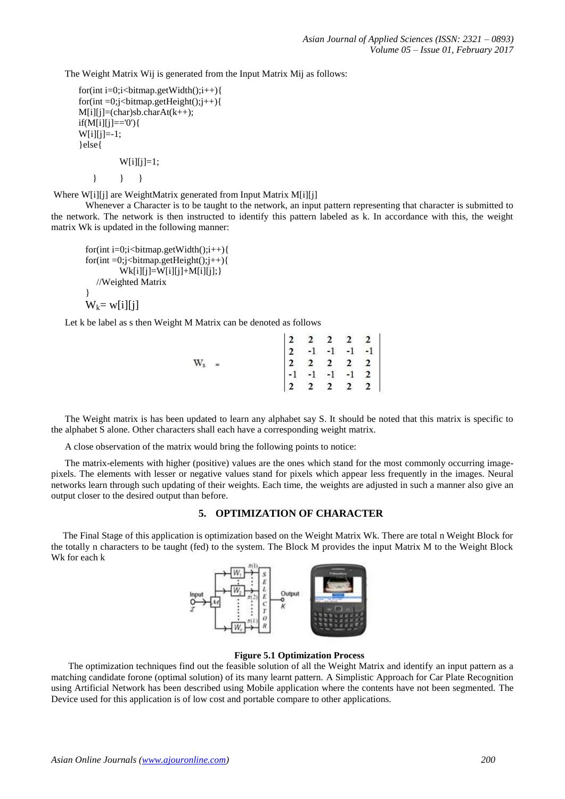The Weight Matrix Wij is generated from the Input Matrix Mij as follows:

```
for(int i=0;i<br/>stimap.getWidth();i++){
for(int =0;j<br/>bitmap.getHeight();j++){
M[i][j] = (char)sb.charAt(k++);if(M[i][j]=-0')W[i][j]=-1;}else{
           W[i][j]=1;
```
} } }

Where W[i][j] are WeightMatrix generated from Input Matrix M[i][j]

Whenever a Character is to be taught to the network, an input pattern representing that character is submitted to the network. The network is then instructed to identify this pattern labeled as k. In accordance with this, the weight matrix Wk is updated in the following manner:

```
for(int i=0;i<br/>stimap.getWidth();i++){
for(int = 0; j < bitmap.getHeight(); j++)Wk[i][j]=W[i][j]+M[i][j]; //Weighted Matrix
}
W_k = w[i][j]
```
Let k be label as s then Weight M Matrix can be denoted as follows

|           |  |  | $\begin{vmatrix} 2 & 2 & 2 & 2 & 2 \\ 2 & -1 & -1 & -1 & -1 \end{vmatrix}$                       |  |
|-----------|--|--|--------------------------------------------------------------------------------------------------|--|
| $\rm W_s$ |  |  |                                                                                                  |  |
|           |  |  |                                                                                                  |  |
|           |  |  | $\begin{array}{ c cccc } \hline 2&2&2&2&2&2 \\ -1&-1&-1&-1&2 \\ 2&2&2&2&2 \\ \hline \end{array}$ |  |

The Weight matrix is has been updated to learn any alphabet say S. It should be noted that this matrix is specific to the alphabet S alone. Other characters shall each have a corresponding weight matrix.

A close observation of the matrix would bring the following points to notice:

The matrix-elements with higher (positive) values are the ones which stand for the most commonly occurring imagepixels. The elements with lesser or negative values stand for pixels which appear less frequently in the images. Neural networks learn through such updating of their weights. Each time, the weights are adjusted in such a manner also give an output closer to the desired output than before.

### **5. OPTIMIZATION OF CHARACTER**

The Final Stage of this application is optimization based on the Weight Matrix Wk. There are total n Weight Block for the totally n characters to be taught (fed) to the system. The Block M provides the input Matrix M to the Weight Block Wk for each k



#### **Figure 5.1 Optimization Process**

The optimization techniques find out the feasible solution of all the Weight Matrix and identify an input pattern as a matching candidate forone (optimal solution) of its many learnt pattern. A Simplistic Approach for Car Plate Recognition using Artificial Network has been described using Mobile application where the contents have not been segmented. The Device used for this application is of low cost and portable compare to other applications.